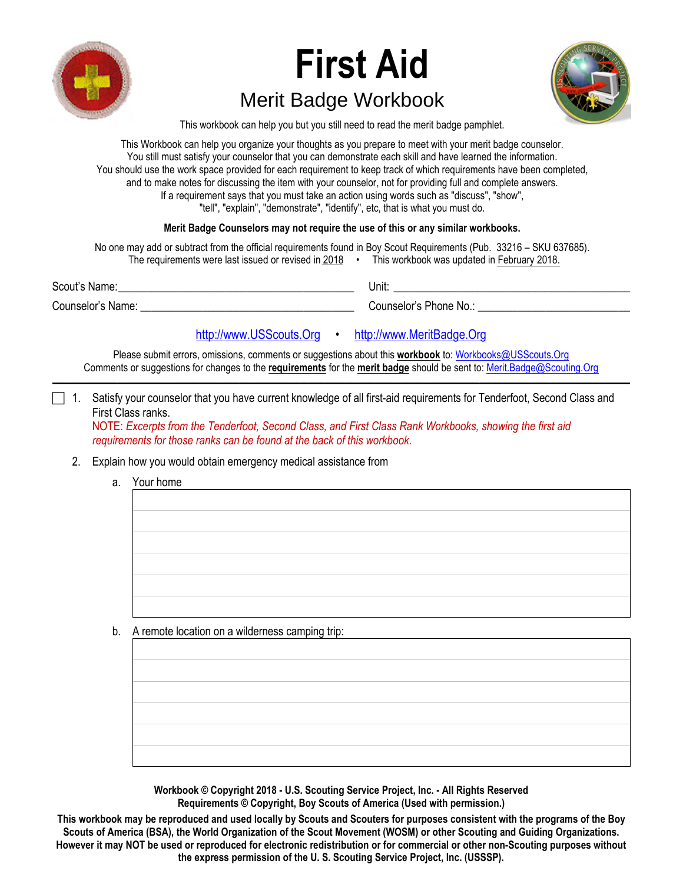

# **First Aid**  Merit Badge Workbook



This workbook can help you but you still need to read the merit badge pamphlet.

This Workbook can help you organize your thoughts as you prepare to meet with your merit badge counselor. You still must satisfy your counselor that you can demonstrate each skill and have learned the information. You should use the work space provided for each requirement to keep track of which requirements have been completed, and to make notes for discussing the item with your counselor, not for providing full and complete answers. If a requirement says that you must take an action using words such as "discuss", "show", "tell", "explain", "demonstrate", "identify", etc, that is what you must do.

## **Merit Badge Counselors may not require the use of this or any similar workbooks.**

| No one may add or subtract from the official requirements found in Boy Scout Requirements (Pub. 33216 – SKU 637685). |                                                      |  |                                             |
|----------------------------------------------------------------------------------------------------------------------|------------------------------------------------------|--|---------------------------------------------|
|                                                                                                                      | The requirements were last issued or revised in 2018 |  | This workbook was updated in February 2018. |
| Scout's Name:                                                                                                        |                                                      |  | Unit:                                       |
| Counselor's Name:                                                                                                    |                                                      |  | Counselor's Phone No.:                      |

[http://www.USScouts.Org](http://www.usscouts.org/) • [http://www.MeritBadge.Org](http://www.meritbadge.org/)

Please submit errors, omissions, comments or suggestions about this **workbook** to: [Workbooks@USScouts.Org](mailto:Workbooks@usscouts.org?subject=Merit%20Badge%20Workbooks) Comments or suggestions for changes to the **requirements** for the **merit badge** should be sent to: [Merit.Badge@Scouting.Org](mailto:merit.badge@scouting.org) *\_\_\_\_\_\_\_\_\_\_\_\_\_\_\_\_\_\_\_\_\_\_\_\_\_\_\_\_\_\_\_\_\_\_\_\_\_\_\_\_\_\_\_\_\_\_\_\_\_\_\_\_\_\_\_\_\_\_\_\_\_\_\_\_\_\_\_\_\_\_\_\_\_\_\_\_\_\_\_\_\_\_\_\_\_\_\_\_\_\_\_\_\_\_\_\_\_\_\_\_\_\_\_\_\_\_\_\_\_\_\_\_\_\_\_\_\_\_\_\_\_\_\_\_\_\_\_\_\_\_\_\_\_\_\_\_\_\_\_\_\_\_* 

1. Satisfy your counselor that you have current knowledge of all first-aid requirements for Tenderfoot, Second Class and First Class ranks.

NOTE: *Excerpts from the Tenderfoot, Second Class, and First Class Rank Workbooks, showing the first aid requirements for those ranks can be found at the back of this workbook.*

### 2. Explain how you would obtain emergency medical assistance from

a. Your home

b. A remote location on a wilderness camping trip:

**Workbook © Copyright 2018 - U.S. Scouting Service Project, Inc. - All Rights Reserved Requirements © Copyright, Boy Scouts of America (Used with permission.)** 

**This workbook may be reproduced and used locally by Scouts and Scouters for purposes consistent with the programs of the Boy Scouts of America (BSA), the World Organization of the Scout Movement (WOSM) or other Scouting and Guiding Organizations. However it may NOT be used or reproduced for electronic redistribution or for commercial or other non-Scouting purposes without the express permission of the U. S. Scouting Service Project, Inc. (USSSP).**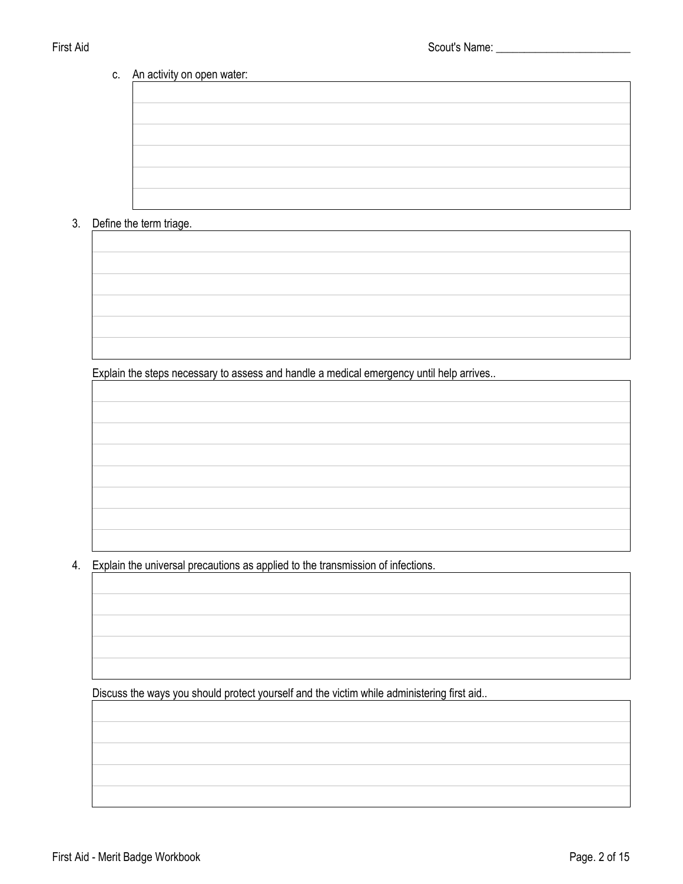# c. An activity on open water:

# 3. Define the term triage.

Explain the steps necessary to assess and handle a medical emergency until help arrives..

4. Explain the universal precautions as applied to the transmission of infections.

Discuss the ways you should protect yourself and the victim while administering first aid..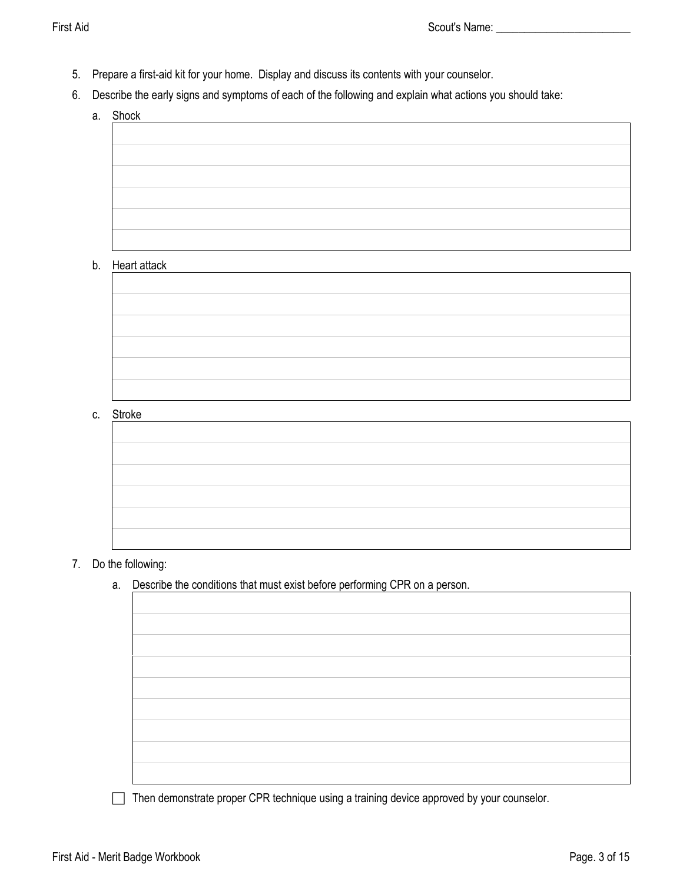- 5. Prepare a first-aid kit for your home. Display and discuss its contents with your counselor.
- 6. Describe the early signs and symptoms of each of the following and explain what actions you should take:
	- a. Shock

# b. Heart attack

c. Stroke

| $   -$ |  |  |
|--------|--|--|
|        |  |  |
|        |  |  |
|        |  |  |
|        |  |  |
|        |  |  |
|        |  |  |
|        |  |  |

# 7. Do the following:

a. Describe the conditions that must exist before performing CPR on a person.

Then demonstrate proper CPR technique using a training device approved by your counselor.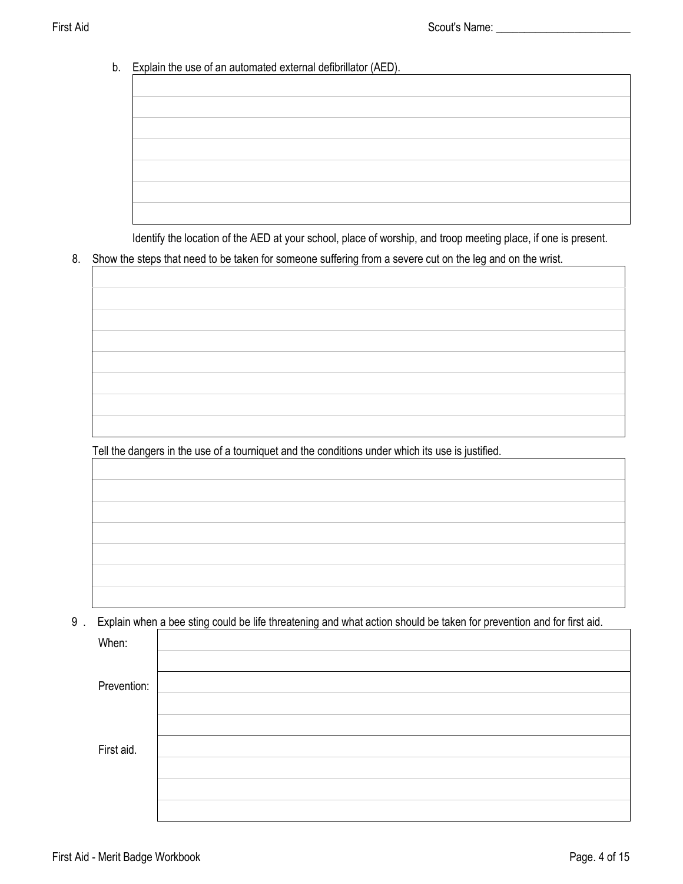b. Explain the use of an automated external defibrillator (AED).

Identify the location of the AED at your school, place of worship, and troop meeting place, if one is present.

8. Show the steps that need to be taken for someone suffering from a severe cut on the leg and on the wrist.

Tell the dangers in the use of a tourniquet and the conditions under which its use is justified.

9 . Explain when a bee sting could be life threatening and what action should be taken for prevention and for first aid.

| When:       |  |
|-------------|--|
|             |  |
| Prevention: |  |
|             |  |
|             |  |
|             |  |
| First aid.  |  |
|             |  |
|             |  |
|             |  |
|             |  |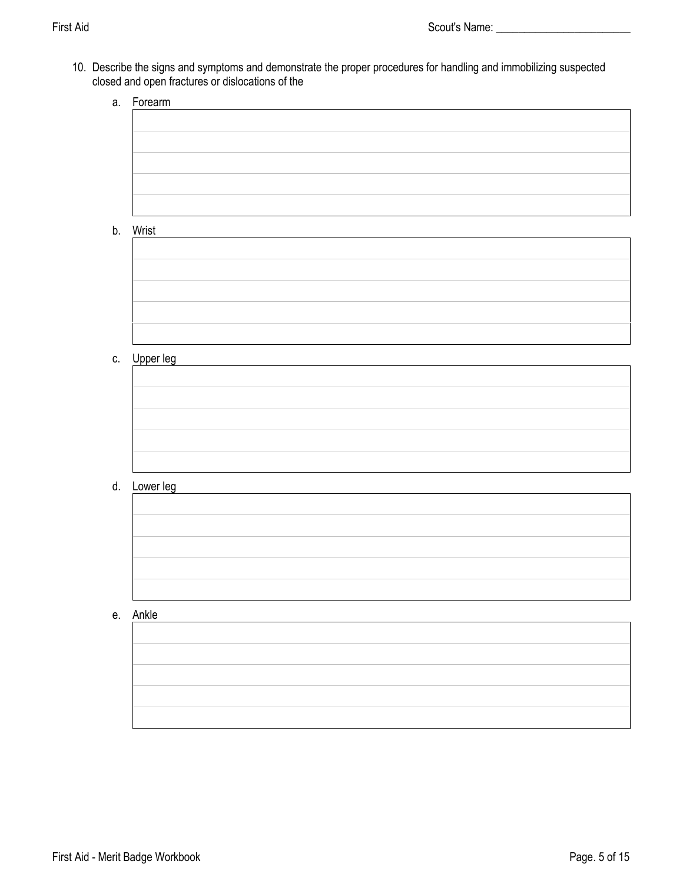10. Describe the signs and symptoms and demonstrate the proper procedures for handling and immobilizing suspected closed and open fractures or dislocations of the

| a. | Forearm      |
|----|--------------|
|    |              |
|    |              |
|    |              |
|    |              |
|    |              |
|    |              |
|    |              |
|    | b. Wrist     |
|    |              |
|    |              |
|    |              |
|    |              |
|    |              |
|    |              |
|    |              |
|    |              |
|    | c. Upper leg |
|    |              |
|    |              |
|    |              |
|    |              |
|    |              |
|    |              |
|    |              |
|    | d. Lower leg |
|    |              |
|    |              |
|    |              |
|    |              |
|    |              |
|    |              |
|    |              |
|    | e. Ankle     |
|    |              |
|    |              |
|    |              |
|    |              |
|    |              |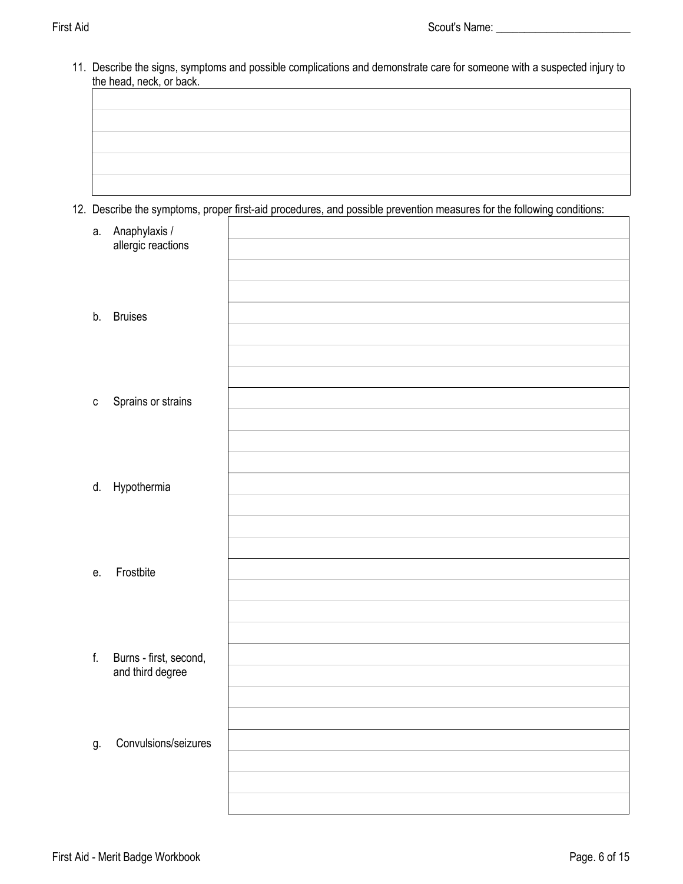11. Describe the signs, symptoms and possible complications and demonstrate care for someone with a suspected injury to the head, neck, or back.

12. Describe the symptoms, proper first-aid procedures, and possible prevention measures for the following conditions:

| а.           | Anaphylaxis /<br>allergic reactions        |  |
|--------------|--------------------------------------------|--|
| b.           | <b>Bruises</b>                             |  |
| $\mathtt{C}$ | Sprains or strains                         |  |
|              | d. Hypothermia                             |  |
| е.           | Frostbite                                  |  |
| $f_{\rm{r}}$ | Burns - first, second,<br>and third degree |  |
| g.           | Convulsions/seizures                       |  |
|              |                                            |  |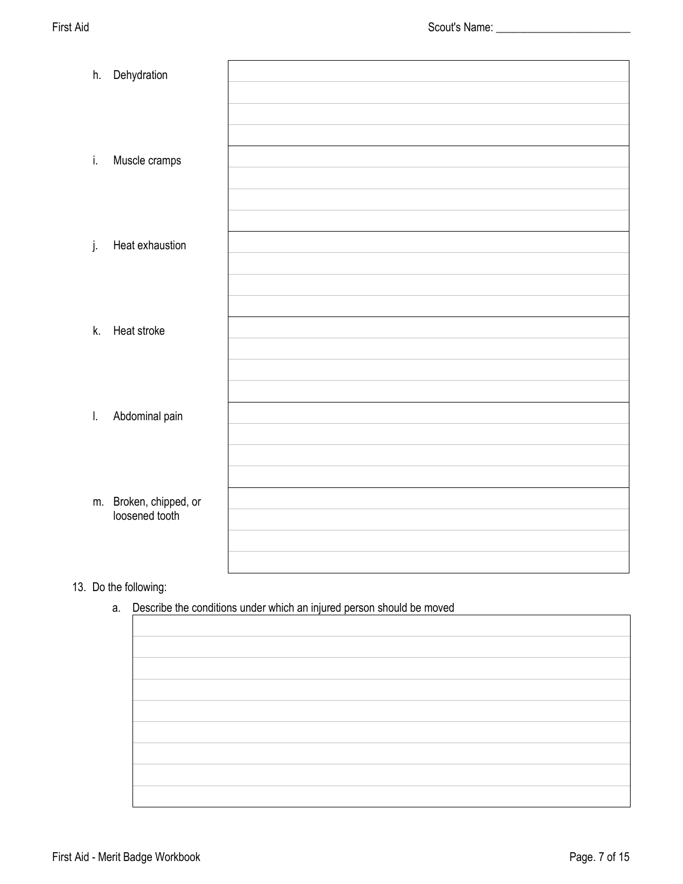| h.           | Dehydration            |  |
|--------------|------------------------|--|
|              |                        |  |
|              |                        |  |
|              |                        |  |
| i.           | Muscle cramps          |  |
|              |                        |  |
|              |                        |  |
|              |                        |  |
| j.           | Heat exhaustion        |  |
|              |                        |  |
|              |                        |  |
|              |                        |  |
| k.           | Heat stroke            |  |
|              |                        |  |
|              |                        |  |
|              |                        |  |
| $\mathbf{L}$ | Abdominal pain         |  |
|              |                        |  |
|              |                        |  |
|              |                        |  |
|              | m. Broken, chipped, or |  |
|              | loosened tooth         |  |
|              |                        |  |
|              |                        |  |

# 13. Do the following:

a. Describe the conditions under which an injured person should be moved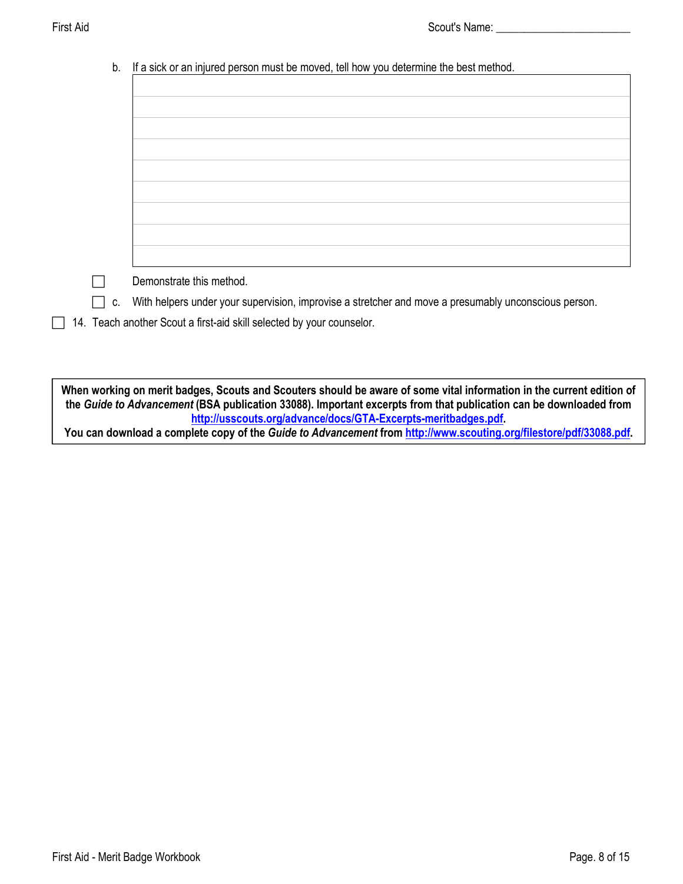| b. | If a sick or an injured person must be moved, tell how you determine the best method.                |
|----|------------------------------------------------------------------------------------------------------|
|    |                                                                                                      |
|    |                                                                                                      |
|    |                                                                                                      |
|    |                                                                                                      |
|    |                                                                                                      |
|    |                                                                                                      |
|    |                                                                                                      |
|    |                                                                                                      |
|    |                                                                                                      |
|    |                                                                                                      |
|    |                                                                                                      |
|    |                                                                                                      |
|    |                                                                                                      |
|    | Demonstrate this method.                                                                             |
| C. | With helpers under your supervision, improvise a stretcher and move a presumably unconscious person. |
|    | 14. Teach another Scout a first-aid skill selected by your counselor.                                |

**When working on merit badges, Scouts and Scouters should be aware of some vital information in the current edition of the** *Guide to Advancement* **(BSA publication 33088). Important excerpts from that publication can be downloaded from <http://usscouts.org/advance/docs/GTA-Excerpts-meritbadges.pdf>. You can download a complete copy of the** *Guide to Advancement* **from <http://www.scouting.org/filestore/pdf/33088.pdf>.**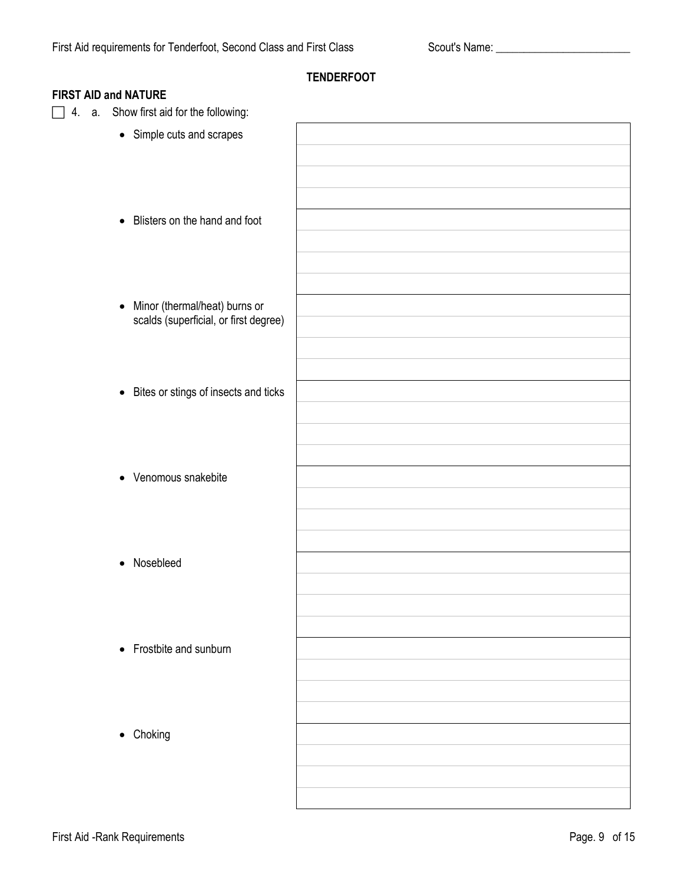|                                            | <b>TENDERFOOT</b> |
|--------------------------------------------|-------------------|
| <b>FIRST AID and NATURE</b>                |                   |
| Show first aid for the following:<br>4. a. |                   |
| • Simple cuts and scrapes                  |                   |
|                                            |                   |
|                                            |                   |
|                                            |                   |
|                                            |                   |
| • Blisters on the hand and foot            |                   |
|                                            |                   |
|                                            |                   |
|                                            |                   |
| • Minor (thermal/heat) burns or            |                   |
| scalds (superficial, or first degree)      |                   |
|                                            |                   |
|                                            |                   |
|                                            |                   |
| • Bites or stings of insects and ticks     |                   |
|                                            |                   |
|                                            |                   |
|                                            |                   |
| • Venomous snakebite                       |                   |
|                                            |                   |
|                                            |                   |
|                                            |                   |
| Nosebleed                                  |                   |
| $\bullet$                                  |                   |
|                                            |                   |
|                                            |                   |
|                                            |                   |
| • Frostbite and sunburn                    |                   |
|                                            |                   |
|                                            |                   |
|                                            |                   |
| • Choking                                  |                   |
|                                            |                   |
|                                            |                   |
|                                            |                   |
|                                            |                   |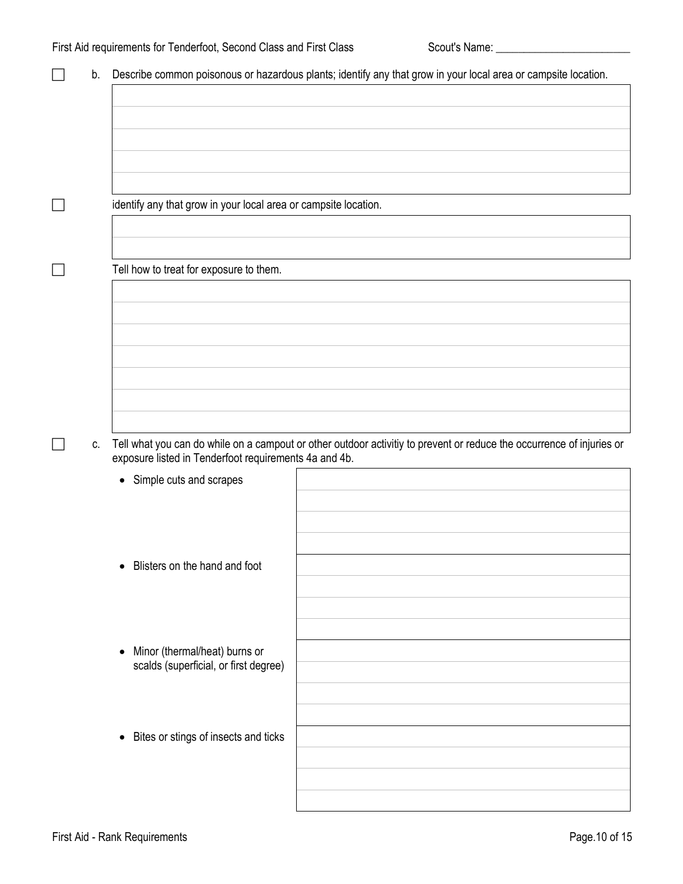| b. |                                                                                     | Describe common poisonous or hazardous plants; identify any that grow in your local area or campsite location.        |
|----|-------------------------------------------------------------------------------------|-----------------------------------------------------------------------------------------------------------------------|
|    |                                                                                     |                                                                                                                       |
|    |                                                                                     |                                                                                                                       |
|    |                                                                                     |                                                                                                                       |
|    |                                                                                     |                                                                                                                       |
|    | identify any that grow in your local area or campsite location.                     |                                                                                                                       |
|    |                                                                                     |                                                                                                                       |
|    | Tell how to treat for exposure to them.                                             |                                                                                                                       |
|    |                                                                                     |                                                                                                                       |
|    |                                                                                     |                                                                                                                       |
|    |                                                                                     |                                                                                                                       |
|    |                                                                                     |                                                                                                                       |
|    |                                                                                     |                                                                                                                       |
| C. | exposure listed in Tenderfoot requirements 4a and 4b.                               | Tell what you can do while on a campout or other outdoor activitiy to prevent or reduce the occurrence of injuries or |
|    | • Simple cuts and scrapes                                                           |                                                                                                                       |
|    |                                                                                     |                                                                                                                       |
|    |                                                                                     |                                                                                                                       |
|    | Blisters on the hand and foot<br>$\bullet$                                          |                                                                                                                       |
|    |                                                                                     |                                                                                                                       |
|    |                                                                                     |                                                                                                                       |
|    | Minor (thermal/heat) burns or<br>$\bullet$<br>scalds (superficial, or first degree) |                                                                                                                       |
|    |                                                                                     |                                                                                                                       |
|    |                                                                                     |                                                                                                                       |
|    | Bites or stings of insects and ticks<br>$\bullet$                                   |                                                                                                                       |
|    |                                                                                     |                                                                                                                       |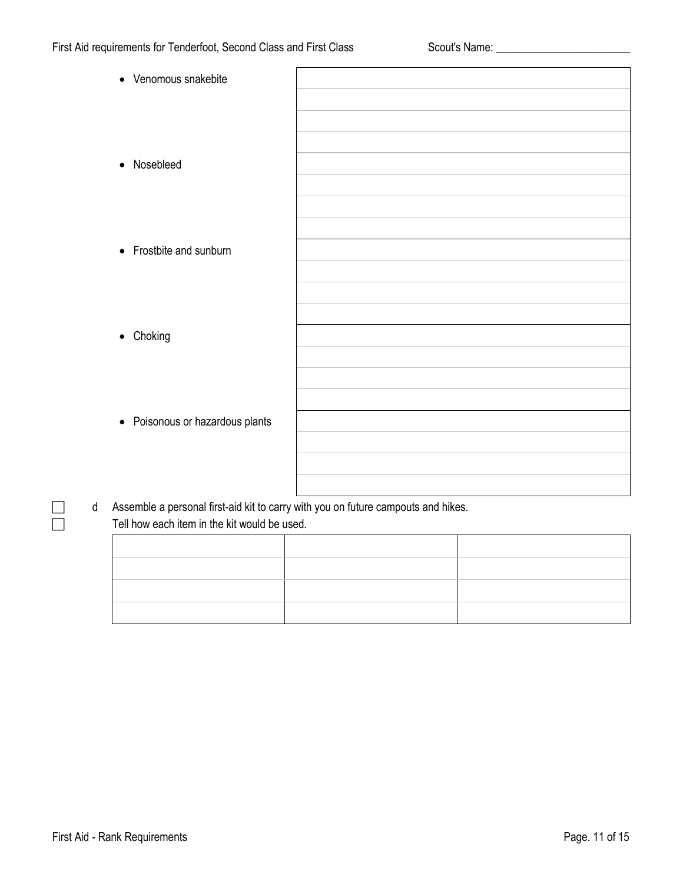| • Venomous snakebite            |  |
|---------------------------------|--|
|                                 |  |
| • Nosebleed                     |  |
|                                 |  |
| • Frostbite and sunburn         |  |
|                                 |  |
| • Choking                       |  |
|                                 |  |
| • Poisonous or hazardous plants |  |
|                                 |  |

d Assemble a personal first-aid kit to carry with you on future campouts and hikes.  $\Box$  Tell how each item in the kit would be used.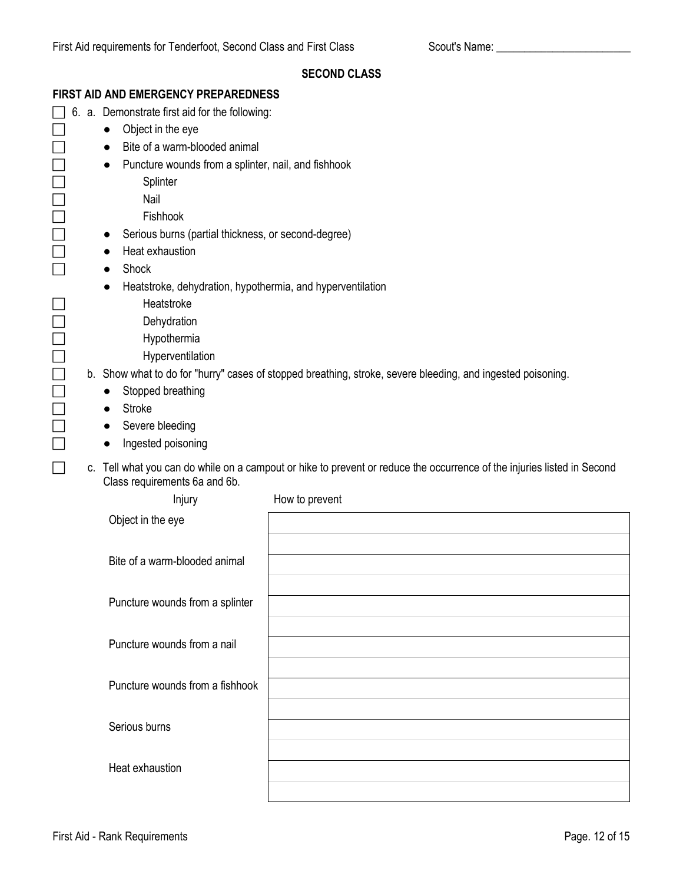|    |                                                                         | <b>SECOND CLASS</b>                                                                                                  |
|----|-------------------------------------------------------------------------|----------------------------------------------------------------------------------------------------------------------|
|    | FIRST AID AND EMERGENCY PREPAREDNESS                                    |                                                                                                                      |
|    | 6. a. Demonstrate first aid for the following:                          |                                                                                                                      |
|    | Object in the eye<br>$\bullet$                                          |                                                                                                                      |
|    | Bite of a warm-blooded animal<br>$\bullet$                              |                                                                                                                      |
|    | Puncture wounds from a splinter, nail, and fishhook                     |                                                                                                                      |
|    | Splinter                                                                |                                                                                                                      |
|    | Nail                                                                    |                                                                                                                      |
|    | Fishhook                                                                |                                                                                                                      |
|    | Serious burns (partial thickness, or second-degree)<br>$\bullet$        |                                                                                                                      |
|    | Heat exhaustion                                                         |                                                                                                                      |
|    | Shock<br>$\bullet$                                                      |                                                                                                                      |
|    | Heatstroke, dehydration, hypothermia, and hyperventilation<br>$\bullet$ |                                                                                                                      |
|    | Heatstroke                                                              |                                                                                                                      |
|    | Dehydration                                                             |                                                                                                                      |
|    | Hypothermia                                                             |                                                                                                                      |
|    | Hyperventilation                                                        |                                                                                                                      |
|    |                                                                         | b. Show what to do for "hurry" cases of stopped breathing, stroke, severe bleeding, and ingested poisoning.          |
|    | Stopped breathing                                                       |                                                                                                                      |
|    | <b>Stroke</b><br>$\bullet$                                              |                                                                                                                      |
|    | Severe bleeding<br>$\bullet$                                            |                                                                                                                      |
|    | Ingested poisoning<br>$\bullet$                                         |                                                                                                                      |
| C. | Class requirements 6a and 6b.                                           | Tell what you can do while on a campout or hike to prevent or reduce the occurrence of the injuries listed in Second |
|    | Injury                                                                  | How to prevent                                                                                                       |
|    | Object in the eye                                                       |                                                                                                                      |
|    |                                                                         |                                                                                                                      |
|    | Bite of a warm-blooded animal                                           |                                                                                                                      |
|    |                                                                         |                                                                                                                      |
|    | Puncture wounds from a splinter                                         |                                                                                                                      |
|    |                                                                         |                                                                                                                      |
|    | Puncture wounds from a nail                                             |                                                                                                                      |
|    |                                                                         |                                                                                                                      |
|    | Puncture wounds from a fishhook                                         |                                                                                                                      |
|    |                                                                         |                                                                                                                      |
|    | Serious burns                                                           |                                                                                                                      |

Heat exhaustion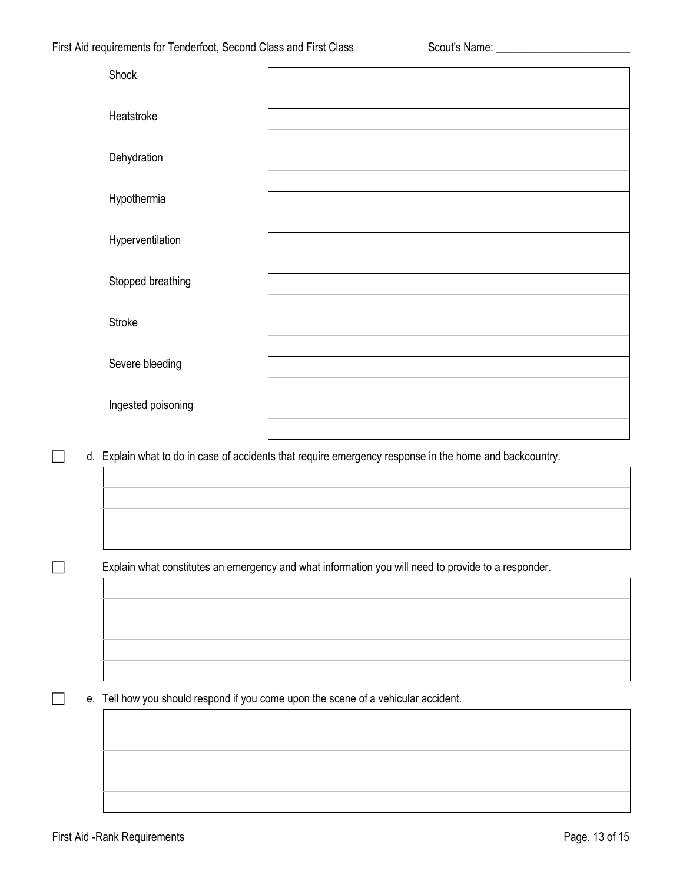| Shock              |                                                                                                         |
|--------------------|---------------------------------------------------------------------------------------------------------|
| Heatstroke         |                                                                                                         |
| Dehydration        |                                                                                                         |
| Hypothermia        |                                                                                                         |
| Hyperventilation   |                                                                                                         |
| Stopped breathing  |                                                                                                         |
| <b>Stroke</b>      |                                                                                                         |
| Severe bleeding    |                                                                                                         |
| Ingested poisoning |                                                                                                         |
|                    | d. Explain what to do in case of accidents that require emergency response in the home and backcountry. |
|                    |                                                                                                         |
|                    |                                                                                                         |
|                    |                                                                                                         |
|                    | Explain what constitutes an emergency and what information you will need to provide to a responder.     |

e. Tell how you should respond if you come upon the scene of a vehicular accident.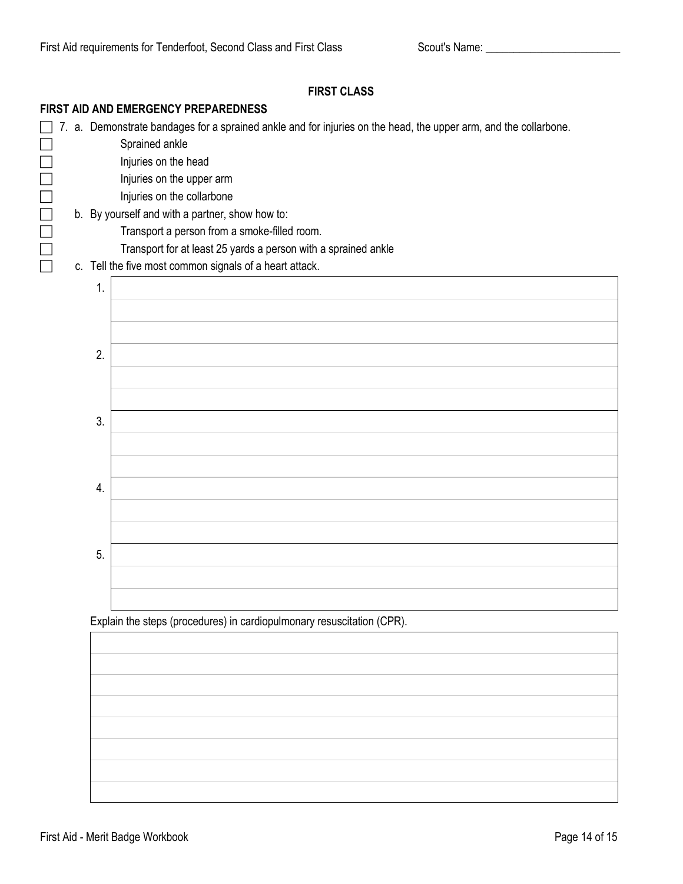| FIRST AID AND EMERGENCY PREPAREDNESS |                                                                                                                  |  |  |  |
|--------------------------------------|------------------------------------------------------------------------------------------------------------------|--|--|--|
|                                      | 7. a. Demonstrate bandages for a sprained ankle and for injuries on the head, the upper arm, and the collarbone. |  |  |  |
|                                      | Sprained ankle                                                                                                   |  |  |  |
|                                      | Injuries on the head                                                                                             |  |  |  |
|                                      | Injuries on the upper arm                                                                                        |  |  |  |
|                                      | Injuries on the collarbone                                                                                       |  |  |  |
|                                      | b. By yourself and with a partner, show how to:                                                                  |  |  |  |
|                                      | Transport a person from a smoke-filled room.                                                                     |  |  |  |
|                                      | Transport for at least 25 yards a person with a sprained ankle                                                   |  |  |  |
|                                      | c. Tell the five most common signals of a heart attack.                                                          |  |  |  |
| 1.                                   |                                                                                                                  |  |  |  |
|                                      |                                                                                                                  |  |  |  |
|                                      |                                                                                                                  |  |  |  |
|                                      |                                                                                                                  |  |  |  |
|                                      | 2.                                                                                                               |  |  |  |
|                                      |                                                                                                                  |  |  |  |
|                                      |                                                                                                                  |  |  |  |
|                                      |                                                                                                                  |  |  |  |
|                                      | 3.                                                                                                               |  |  |  |
|                                      |                                                                                                                  |  |  |  |
|                                      |                                                                                                                  |  |  |  |
|                                      |                                                                                                                  |  |  |  |
|                                      | 4.                                                                                                               |  |  |  |
|                                      |                                                                                                                  |  |  |  |
|                                      |                                                                                                                  |  |  |  |
|                                      | 5.                                                                                                               |  |  |  |
|                                      |                                                                                                                  |  |  |  |
|                                      |                                                                                                                  |  |  |  |
|                                      |                                                                                                                  |  |  |  |
|                                      | Explain the steps (procedures) in cardiopulmonary resuscitation (CPR).                                           |  |  |  |
|                                      |                                                                                                                  |  |  |  |
|                                      |                                                                                                                  |  |  |  |

**FIRST CLASS**